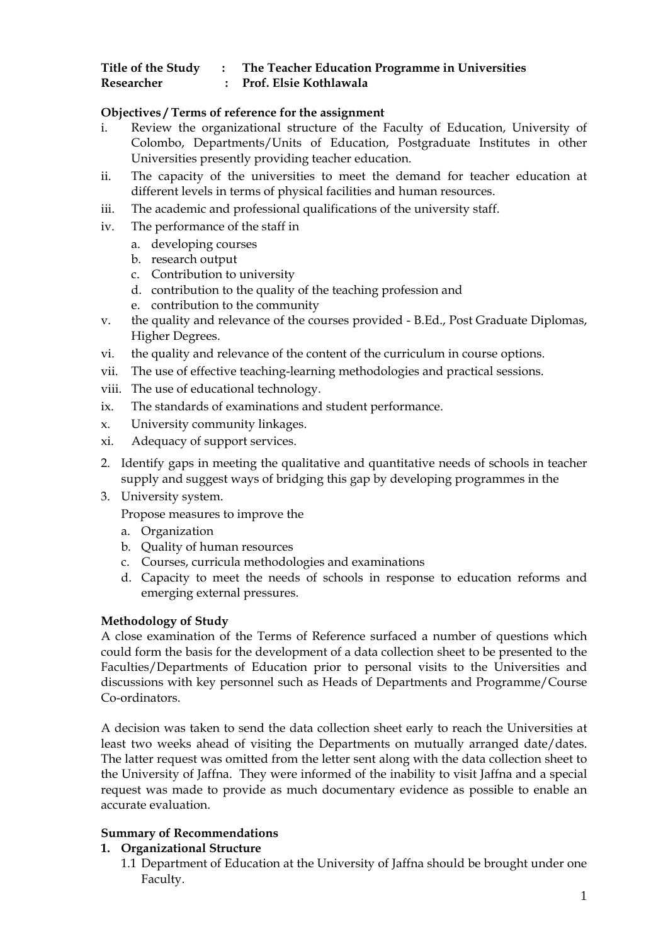# **Title of the Study : The Teacher Education Programme in Universities**

**Researcher : Prof. Elsie Kothlawala** 

## **Objectives / Terms of reference for the assignment**

- i. Review the organizational structure of the Faculty of Education, University of Colombo, Departments/Units of Education, Postgraduate Institutes in other Universities presently providing teacher education.
- ii. The capacity of the universities to meet the demand for teacher education at different levels in terms of physical facilities and human resources.
- iii. The academic and professional qualifications of the university staff.
- iv. The performance of the staff in
	- a. developing courses
	- b. research output
	- c. Contribution to university
	- d. contribution to the quality of the teaching profession and
	- e. contribution to the community
- v. the quality and relevance of the courses provided B.Ed., Post Graduate Diplomas, Higher Degrees.
- vi. the quality and relevance of the content of the curriculum in course options.
- vii. The use of effective teaching-learning methodologies and practical sessions.
- viii. The use of educational technology.
- ix. The standards of examinations and student performance.
- x. University community linkages.
- xi. Adequacy of support services.
- 2. Identify gaps in meeting the qualitative and quantitative needs of schools in teacher supply and suggest ways of bridging this gap by developing programmes in the
- 3. University system.

Propose measures to improve the

- a. Organization
- b. Quality of human resources
- c. Courses, curricula methodologies and examinations
- d. Capacity to meet the needs of schools in response to education reforms and emerging external pressures.

#### **Methodology of Study**

A close examination of the Terms of Reference surfaced a number of questions which could form the basis for the development of a data collection sheet to be presented to the Faculties/Departments of Education prior to personal visits to the Universities and discussions with key personnel such as Heads of Departments and Programme/Course Co-ordinators.

A decision was taken to send the data collection sheet early to reach the Universities at least two weeks ahead of visiting the Departments on mutually arranged date/dates. The latter request was omitted from the letter sent along with the data collection sheet to the University of Jaffna. They were informed of the inability to visit Jaffna and a special request was made to provide as much documentary evidence as possible to enable an accurate evaluation.

# **Summary of Recommendations**

#### **1. Organizational Structure**

1.1 Department of Education at the University of Jaffna should be brought under one Faculty.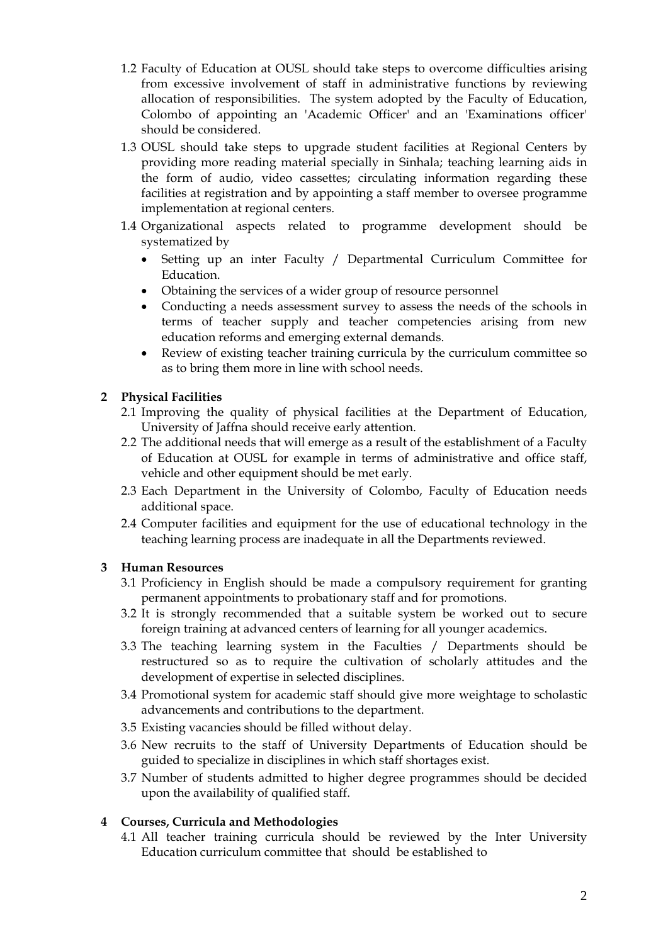- 1.2 Faculty of Education at OUSL should take steps to overcome difficulties arising from excessive involvement of staff in administrative functions by reviewing allocation of responsibilities. The system adopted by the Faculty of Education, Colombo of appointing an 'Academic Officer' and an 'Examinations officer' should be considered.
- 1.3 OUSL should take steps to upgrade student facilities at Regional Centers by providing more reading material specially in Sinhala; teaching learning aids in the form of audio, video cassettes; circulating information regarding these facilities at registration and by appointing a staff member to oversee programme implementation at regional centers.
- 1.4 Organizational aspects related to programme development should be systematized by
	- Setting up an inter Faculty / Departmental Curriculum Committee for Education.
	- Obtaining the services of a wider group of resource personnel
	- Conducting a needs assessment survey to assess the needs of the schools in terms of teacher supply and teacher competencies arising from new education reforms and emerging external demands.
	- Review of existing teacher training curricula by the curriculum committee so as to bring them more in line with school needs.

## **2 Physical Facilities**

- 2.1 Improving the quality of physical facilities at the Department of Education, University of Jaffna should receive early attention.
- 2.2 The additional needs that will emerge as a result of the establishment of a Faculty of Education at OUSL for example in terms of administrative and office staff, vehicle and other equipment should be met early.
- 2.3 Each Department in the University of Colombo, Faculty of Education needs additional space.
- 2.4 Computer facilities and equipment for the use of educational technology in the teaching learning process are inadequate in all the Departments reviewed.

#### **3 Human Resources**

- 3.1 Proficiency in English should be made a compulsory requirement for granting permanent appointments to probationary staff and for promotions.
- 3.2 It is strongly recommended that a suitable system be worked out to secure foreign training at advanced centers of learning for all younger academics.
- 3.3 The teaching learning system in the Faculties / Departments should be restructured so as to require the cultivation of scholarly attitudes and the development of expertise in selected disciplines.
- 3.4 Promotional system for academic staff should give more weightage to scholastic advancements and contributions to the department.
- 3.5 Existing vacancies should be filled without delay.
- 3.6 New recruits to the staff of University Departments of Education should be guided to specialize in disciplines in which staff shortages exist.
- 3.7 Number of students admitted to higher degree programmes should be decided upon the availability of qualified staff.

# **4 Courses, Curricula and Methodologies**

4.1 All teacher training curricula should be reviewed by the Inter University Education curriculum committee that should be established to